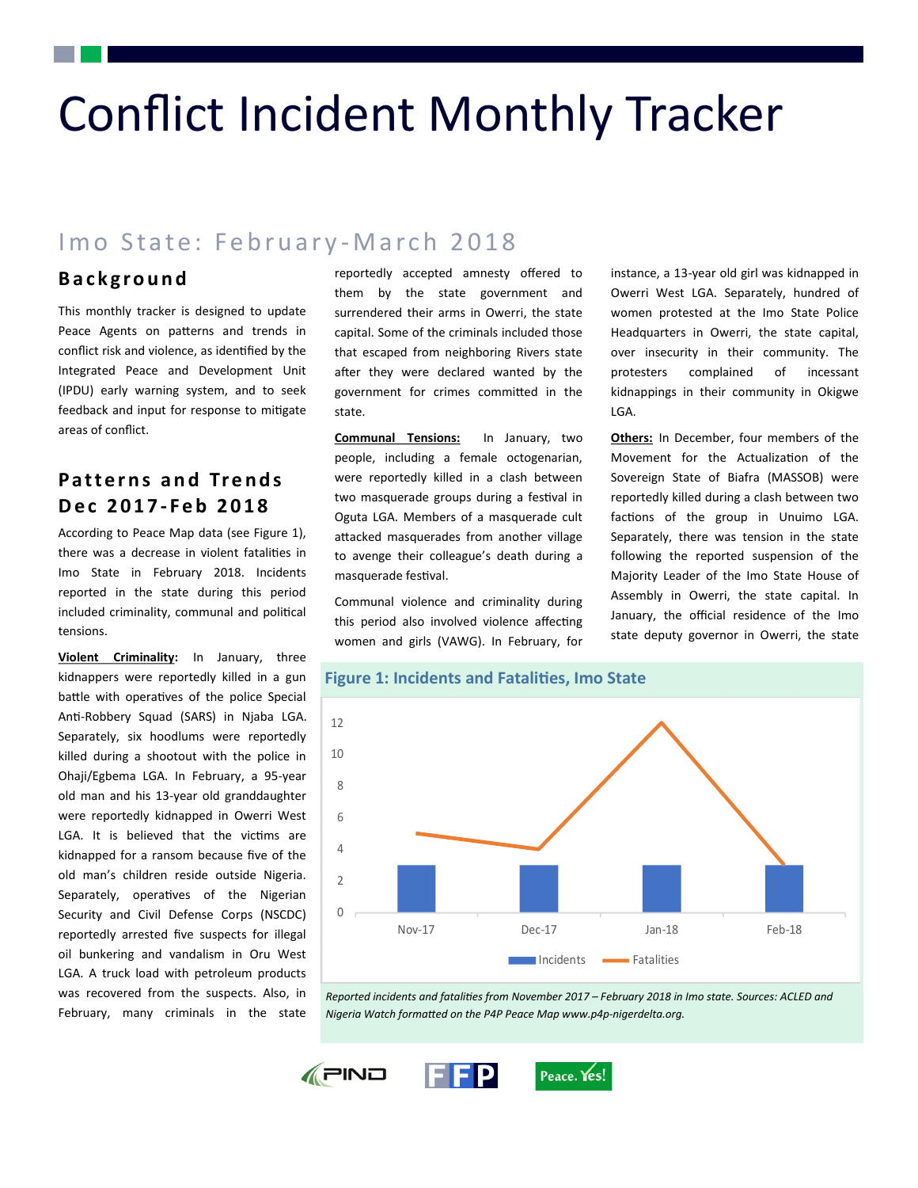# Conflict Incident Monthly Tracker

# Imo State: February-March 2018

#### **B a c k g r o u n d**

This monthly tracker is designed to update Peace Agents on patterns and trends in conflict risk and violence, as identified by the Integrated Peace and Development Unit (IPDU) early warning system, and to seek feedback and input for response to mitigate areas of conflict.

### **P a t t e r n s a n d Tr e n d s D e c 2 0 1 7 - F e b 2 0 1 8**

According to Peace Map data (see Figure 1), there was a decrease in violent fatalities in Imo State in February 2018. Incidents reported in the state during this period included criminality, communal and political tensions.

**Violent Criminality:** In January, three kidnappers were reportedly killed in a gun battle with operatives of the police Special Anti-Robbery Squad (SARS) in Njaba LGA. Separately, six hoodlums were reportedly killed during a shootout with the police in Ohaji/Egbema LGA. In February, a 95-year old man and his 13-year old granddaughter were reportedly kidnapped in Owerri West LGA. It is believed that the victims are kidnapped for a ransom because five of the old man's children reside outside Nigeria. Separately, operatives of the Nigerian Security and Civil Defense Corps (NSCDC) reportedly arrested five suspects for illegal oil bunkering and vandalism in Oru West LGA. A truck load with petroleum products was recovered from the suspects. Also, in February, many criminals in the state

reportedly accepted amnesty offered to them by the state government and surrendered their arms in Owerri, the state capital. Some of the criminals included those that escaped from neighboring Rivers state after they were declared wanted by the government for crimes committed in the state.

**Communal Tensions:** In January, two people, including a female octogenarian, were reportedly killed in a clash between two masquerade groups during a festival in Oguta LGA. Members of a masquerade cult attacked masquerades from another village to avenge their colleague's death during a masquerade festival.

Communal violence and criminality during this period also involved violence affecting women and girls (VAWG). In February, for instance, a 13-year old girl was kidnapped in Owerri West LGA. Separately, hundred of women protested at the Imo State Police Headquarters in Owerri, the state capital, over insecurity in their community. The protesters complained of incessant kidnappings in their community in Okigwe LGA.

**Others:** In December, four members of the Movement for the Actualization of the Sovereign State of Biafra (MASSOB) were reportedly killed during a clash between two factions of the group in Unuimo LGA. Separately, there was tension in the state following the reported suspension of the Majority Leader of the Imo State House of Assembly in Owerri, the state capital. In January, the official residence of the Imo state deputy governor in Owerri, the state



*Reported incidents and fatalities from November 2017 – February 2018 in Imo state. Sources: ACLED and Nigeria Watch formatted on the P4P Peace Map www.p4p-nigerdelta.org.*